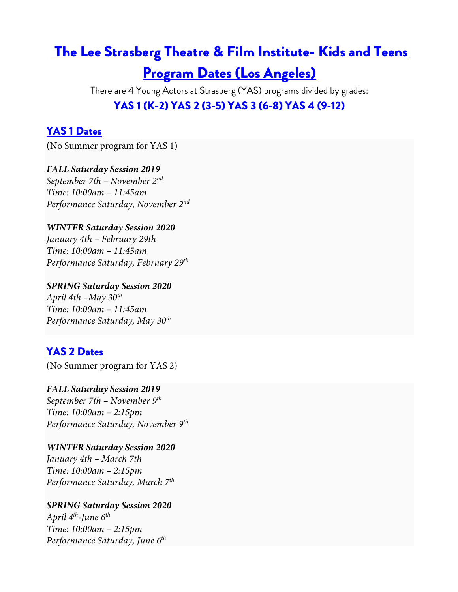## The Lee Strasberg Theatre & Film Institute- Kids and Teens

# Program Dates (Los Angeles)

There are 4 Young Actors at Strasberg (YAS) programs divided by grades: YAS 1 (K-2) YAS 2 (3-5) YAS 3 (6-8) YAS 4 (9-12)

## YAS 1 Dates

(No Summer program for YAS 1)

#### *FALL Saturday Session 2019*

*September 7th – November 2nd Time: 10:00am – 11:45am Performance Saturday, November 2nd*

#### *WINTER Saturday Session 2020*

*January 4th – February 29th Time: 10:00am – 11:45am Performance Saturday, February 29th*

*SPRING Saturday Session 2020 April 4th –May 30th Time: 10:00am – 11:45am Performance Saturday, May 30th*

## YAS 2 Dates

(No Summer program for YAS 2)

*FALL Saturday Session 2019 September 7th – November 9th Time: 10:00am – 2:15pm Performance Saturday, November 9th*

*WINTER Saturday Session 2020 January 4th – March 7th Time: 10:00am – 2:15pm Performance Saturday, March 7th*

*SPRING Saturday Session 2020 April 4th-June 6th Time: 10:00am – 2:15pm Performance Saturday, June 6th*